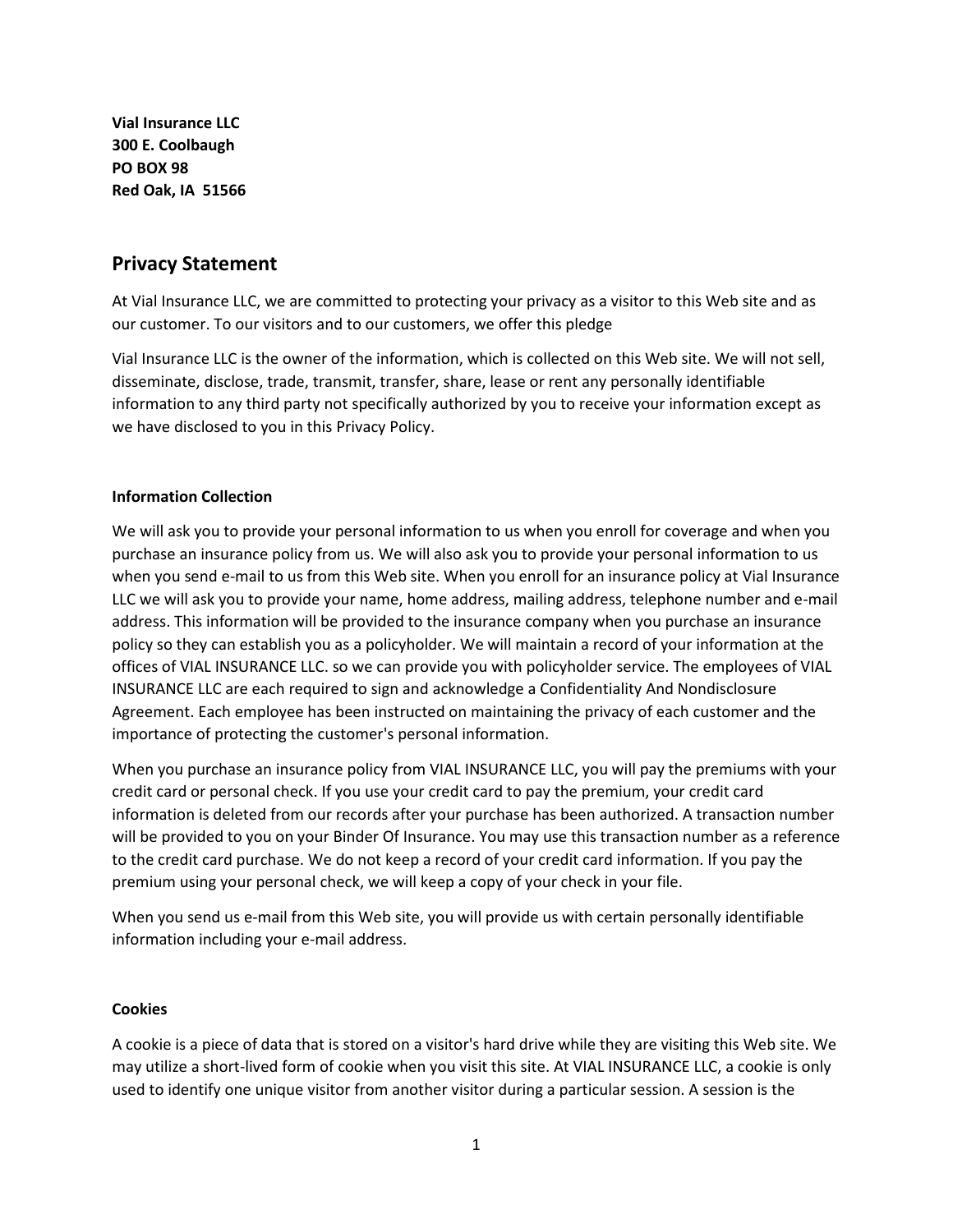**Vial Insurance LLC 300 E. Coolbaugh PO BOX 98 Red Oak, IA 51566**

# **Privacy Statement**

At Vial Insurance LLC, we are committed to protecting your privacy as a visitor to this Web site and as our customer. To our visitors and to our customers, we offer this pledge

Vial Insurance LLC is the owner of the information, which is collected on this Web site. We will not sell, disseminate, disclose, trade, transmit, transfer, share, lease or rent any personally identifiable information to any third party not specifically authorized by you to receive your information except as we have disclosed to you in this Privacy Policy.

### **Information Collection**

We will ask you to provide your personal information to us when you enroll for coverage and when you purchase an insurance policy from us. We will also ask you to provide your personal information to us when you send e-mail to us from this Web site. When you enroll for an insurance policy at Vial Insurance LLC we will ask you to provide your name, home address, mailing address, telephone number and e-mail address. This information will be provided to the insurance company when you purchase an insurance policy so they can establish you as a policyholder. We will maintain a record of your information at the offices of VIAL INSURANCE LLC. so we can provide you with policyholder service. The employees of VIAL INSURANCE LLC are each required to sign and acknowledge a Confidentiality And Nondisclosure Agreement. Each employee has been instructed on maintaining the privacy of each customer and the importance of protecting the customer's personal information.

When you purchase an insurance policy from VIAL INSURANCE LLC, you will pay the premiums with your credit card or personal check. If you use your credit card to pay the premium, your credit card information is deleted from our records after your purchase has been authorized. A transaction number will be provided to you on your Binder Of Insurance. You may use this transaction number as a reference to the credit card purchase. We do not keep a record of your credit card information. If you pay the premium using your personal check, we will keep a copy of your check in your file.

When you send us e-mail from this Web site, you will provide us with certain personally identifiable information including your e-mail address.

### **Cookies**

A cookie is a piece of data that is stored on a visitor's hard drive while they are visiting this Web site. We may utilize a short-lived form of cookie when you visit this site. At VIAL INSURANCE LLC, a cookie is only used to identify one unique visitor from another visitor during a particular session. A session is the